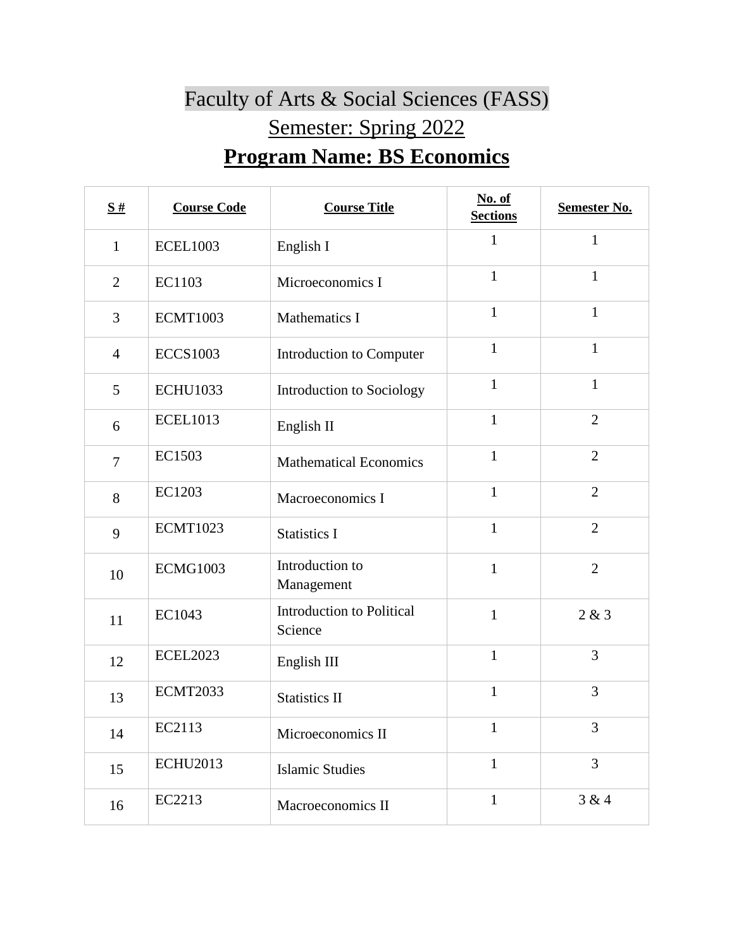## Faculty of Arts & Social Sciences (FASS) Semester: Spring 2022 **Program Name: BS Economics**

| $\underline{\mathbf{S}}$ # | <b>Course Code</b> | <b>Course Title</b>                  | No. of<br><b>Sections</b> | <b>Semester No.</b> |
|----------------------------|--------------------|--------------------------------------|---------------------------|---------------------|
| $\mathbf{1}$               | <b>ECEL1003</b>    | English I                            | $\mathbf{1}$              | $\mathbf{1}$        |
| $\overline{2}$             | EC1103             | Microeconomics I                     | $\mathbf{1}$              | $\mathbf{1}$        |
| 3                          | <b>ECMT1003</b>    | Mathematics I                        | $\mathbf{1}$              | $\mathbf{1}$        |
| $\overline{4}$             | <b>ECCS1003</b>    | Introduction to Computer             | $\mathbf{1}$              | $\mathbf{1}$        |
| 5                          | <b>ECHU1033</b>    | Introduction to Sociology            | $\mathbf{1}$              | $\mathbf{1}$        |
| 6                          | <b>ECEL1013</b>    | English II                           | $\mathbf{1}$              | $\overline{2}$      |
| $\overline{7}$             | EC1503             | <b>Mathematical Economics</b>        | $\mathbf{1}$              | $\overline{2}$      |
| 8                          | EC1203             | Macroeconomics I                     | $\mathbf{1}$              | $\overline{2}$      |
| 9                          | <b>ECMT1023</b>    | <b>Statistics I</b>                  | $\mathbf{1}$              | $\overline{2}$      |
| 10                         | <b>ECMG1003</b>    | Introduction to<br>Management        | $\mathbf{1}$              | $\overline{2}$      |
| 11                         | EC1043             | Introduction to Political<br>Science | $\mathbf{1}$              | 2 & 3               |
| 12                         | <b>ECEL2023</b>    | English III                          | $\mathbf{1}$              | 3                   |
| 13                         | <b>ECMT2033</b>    | <b>Statistics II</b>                 | $\mathbf{1}$              | 3                   |
| 14                         | EC2113             | Microeconomics II                    | $\mathbf{1}$              | 3                   |
| 15                         | <b>ECHU2013</b>    | <b>Islamic Studies</b>               | $\mathbf{1}$              | $\overline{3}$      |
| 16                         | EC2213             | Macroeconomics II                    | $\mathbf{1}$              | 3 & 4               |